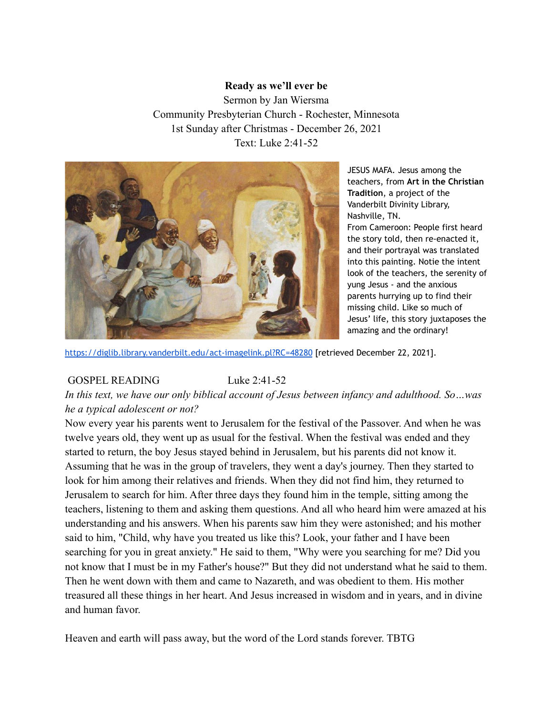## **Ready as we'll ever be**

Sermon by Jan Wiersma Community Presbyterian Church - Rochester, Minnesota 1st Sunday after Christmas - December 26, 2021 Text: Luke 2:41-52



JESUS MAFA. Jesus among the teachers, from **Art in the Christian Tradition**, a project of the Vanderbilt Divinity Library, Nashville, TN.

From Cameroon: People first heard the story told, then re-enacted it, and their portrayal was translated into this painting. Notie the intent look of the teachers, the serenity of yung Jesus - and the anxious parents hurrying up to find their missing child. Like so much of Jesus' life, this story juxtaposes the amazing and the ordinary!

<https://diglib.library.vanderbilt.edu/act-imagelink.pl?RC=48280> [retrieved December 22, 2021].

## GOSPEL READING Luke 2:41-52

*In this text, we have our only biblical account of Jesus between infancy and adulthood. So…was he a typical adolescent or not?*

Now every year his parents went to Jerusalem for the festival of the Passover. And when he was twelve years old, they went up as usual for the festival. When the festival was ended and they started to return, the boy Jesus stayed behind in Jerusalem, but his parents did not know it. Assuming that he was in the group of travelers, they went a day's journey. Then they started to look for him among their relatives and friends. When they did not find him, they returned to Jerusalem to search for him. After three days they found him in the temple, sitting among the teachers, listening to them and asking them questions. And all who heard him were amazed at his understanding and his answers. When his parents saw him they were astonished; and his mother said to him, "Child, why have you treated us like this? Look, your father and I have been searching for you in great anxiety." He said to them, "Why were you searching for me? Did you not know that I must be in my Father's house?" But they did not understand what he said to them. Then he went down with them and came to Nazareth, and was obedient to them. His mother treasured all these things in her heart. And Jesus increased in wisdom and in years, and in divine and human favor.

Heaven and earth will pass away, but the word of the Lord stands forever. TBTG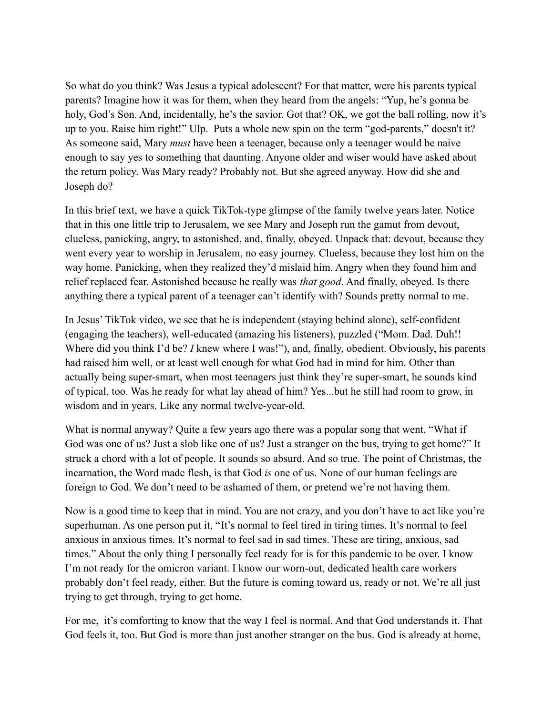So what do you think? Was Jesus a typical adolescent? For that matter, were his parents typical parents? Imagine how it was for them, when they heard from the angels: "Yup, he's gonna be holy, God's Son. And, incidentally, he's the savior. Got that? OK, we got the ball rolling, now it's up to you. Raise him right!" Ulp. Puts a whole new spin on the term "god-parents," doesn't it? As someone said, Mary *must* have been a teenager, because only a teenager would be naive enough to say yes to something that daunting. Anyone older and wiser would have asked about the return policy. Was Mary ready? Probably not. But she agreed anyway. How did she and Joseph do?

In this brief text, we have a quick TikTok-type glimpse of the family twelve years later. Notice that in this one little trip to Jerusalem, we see Mary and Joseph run the gamut from devout, clueless, panicking, angry, to astonished, and, finally, obeyed. Unpack that: devout, because they went every year to worship in Jerusalem, no easy journey. Clueless, because they lost him on the way home. Panicking, when they realized they'd mislaid him. Angry when they found him and relief replaced fear. Astonished because he really was *that good*. And finally, obeyed. Is there anything there a typical parent of a teenager can't identify with? Sounds pretty normal to me.

In Jesus' TikTok video, we see that he is independent (staying behind alone), self-confident (engaging the teachers), well-educated (amazing his listeners), puzzled ("Mom. Dad. Duh!! Where did you think I'd be? *I* knew where I was!"), and, finally, obedient. Obviously, his parents had raised him well, or at least well enough for what God had in mind for him. Other than actually being super-smart, when most teenagers just think they're super-smart, he sounds kind of typical, too. Was he ready for what lay ahead of him? Yes...but he still had room to grow, in wisdom and in years. Like any normal twelve-year-old.

What is normal anyway? Quite a few years ago there was a popular song that went, "What if God was one of us? Just a slob like one of us? Just a stranger on the bus, trying to get home?" It struck a chord with a lot of people. It sounds so absurd. And so true. The point of Christmas, the incarnation, the Word made flesh, is that God *is* one of us. None of our human feelings are foreign to God. We don't need to be ashamed of them, or pretend we're not having them.

Now is a good time to keep that in mind. You are not crazy, and you don't have to act like you're superhuman. As one person put it, "It's normal to feel tired in tiring times. It's normal to feel anxious in anxious times. It's normal to feel sad in sad times. These are tiring, anxious, sad times." About the only thing I personally feel ready for is for this pandemic to be over. I know I'm not ready for the omicron variant. I know our worn-out, dedicated health care workers probably don't feel ready, either. But the future is coming toward us, ready or not. We're all just trying to get through, trying to get home.

For me, it's comforting to know that the way I feel is normal. And that God understands it. That God feels it, too. But God is more than just another stranger on the bus. God is already at home,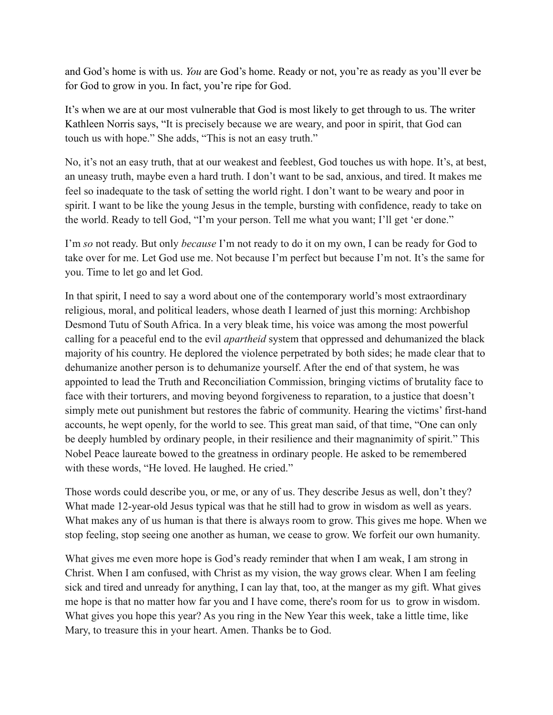and God's home is with us. *You* are God's home. Ready or not, you're as ready as you'll ever be for God to grow in you. In fact, you're ripe for God.

It's when we are at our most vulnerable that God is most likely to get through to us. The writer Kathleen Norris says, "It is precisely because we are weary, and poor in spirit, that God can touch us with hope." She adds, "This is not an easy truth."

No, it's not an easy truth, that at our weakest and feeblest, God touches us with hope. It's, at best, an uneasy truth, maybe even a hard truth. I don't want to be sad, anxious, and tired. It makes me feel so inadequate to the task of setting the world right. I don't want to be weary and poor in spirit. I want to be like the young Jesus in the temple, bursting with confidence, ready to take on the world. Ready to tell God, "I'm your person. Tell me what you want; I'll get 'er done."

I'm *so* not ready. But only *because* I'm not ready to do it on my own, I can be ready for God to take over for me. Let God use me. Not because I'm perfect but because I'm not. It's the same for you. Time to let go and let God.

In that spirit, I need to say a word about one of the contemporary world's most extraordinary religious, moral, and political leaders, whose death I learned of just this morning: Archbishop Desmond Tutu of South Africa. In a very bleak time, his voice was among the most powerful calling for a peaceful end to the evil *apartheid* system that oppressed and dehumanized the black majority of his country. He deplored the violence perpetrated by both sides; he made clear that to dehumanize another person is to dehumanize yourself. After the end of that system, he was appointed to lead the Truth and Reconciliation Commission, bringing victims of brutality face to face with their torturers, and moving beyond forgiveness to reparation, to a justice that doesn't simply mete out punishment but restores the fabric of community. Hearing the victims' first-hand accounts, he wept openly, for the world to see. This great man said, of that time, "One can only be deeply humbled by ordinary people, in their resilience and their magnanimity of spirit." This Nobel Peace laureate bowed to the greatness in ordinary people. He asked to be remembered with these words, "He loved. He laughed. He cried."

Those words could describe you, or me, or any of us. They describe Jesus as well, don't they? What made 12-year-old Jesus typical was that he still had to grow in wisdom as well as years. What makes any of us human is that there is always room to grow. This gives me hope. When we stop feeling, stop seeing one another as human, we cease to grow. We forfeit our own humanity.

What gives me even more hope is God's ready reminder that when I am weak, I am strong in Christ. When I am confused, with Christ as my vision, the way grows clear. When I am feeling sick and tired and unready for anything, I can lay that, too, at the manger as my gift. What gives me hope is that no matter how far you and I have come, there's room for us to grow in wisdom. What gives you hope this year? As you ring in the New Year this week, take a little time, like Mary, to treasure this in your heart. Amen. Thanks be to God.